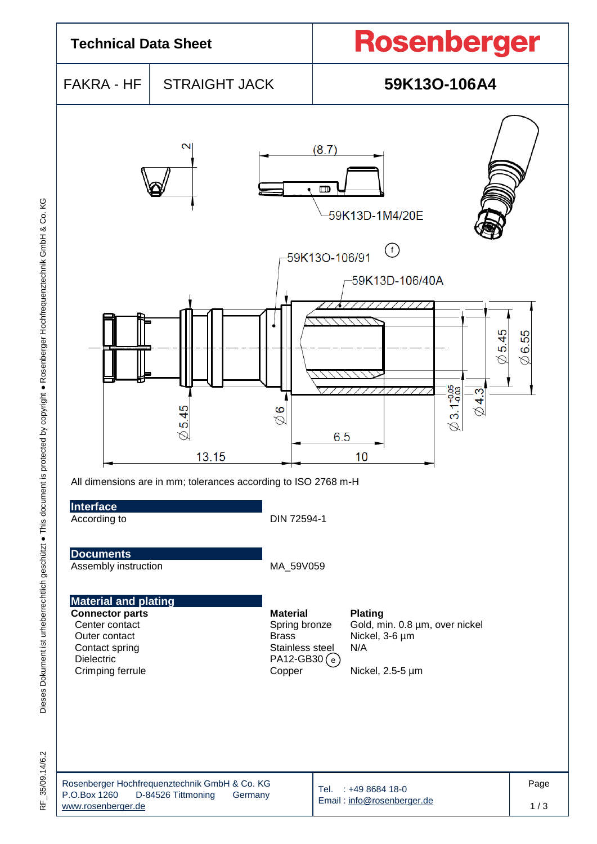

35/09.14/6.2  $\frac{\mu}{\alpha}$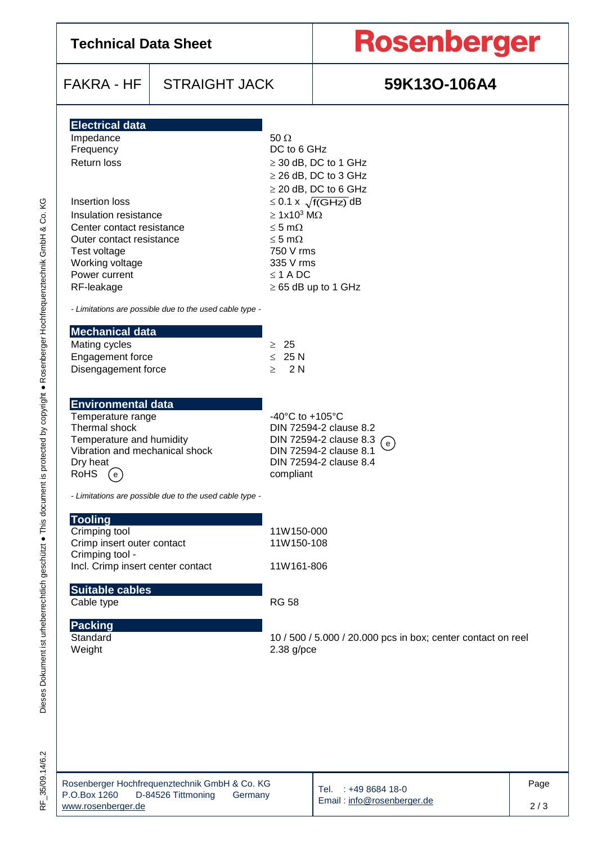| <b>Technical Data Sheet</b>                                                                                                                                                                                                                                            |                                                                                |                                                                                                                                                                            | <b>Rosenberger</b>                                                                                                                                 |      |  |  |  |  |
|------------------------------------------------------------------------------------------------------------------------------------------------------------------------------------------------------------------------------------------------------------------------|--------------------------------------------------------------------------------|----------------------------------------------------------------------------------------------------------------------------------------------------------------------------|----------------------------------------------------------------------------------------------------------------------------------------------------|------|--|--|--|--|
| <b>FAKRA - HF</b>                                                                                                                                                                                                                                                      | <b>STRAIGHT JACK</b>                                                           |                                                                                                                                                                            | 59K13O-106A4                                                                                                                                       |      |  |  |  |  |
| <b>Electrical data</b><br>Impedance<br>Frequency<br><b>Return loss</b><br>Insertion loss<br>Insulation resistance<br>Center contact resistance<br>Outer contact resistance<br>Test voltage<br>Working voltage<br>Power current<br>RF-leakage<br><b>Mechanical data</b> | - Limitations are possible due to the used cable type -                        | $50 \Omega$<br>DC to 6 GHz<br>$\geq 1x10^3$ M $\Omega$<br>$\leq$ 5 m $\Omega$<br>$\leq$ 5 m $\Omega$<br>750 V rms<br>335 V rms<br>$\leq$ 1 A DC                            | $\geq$ 30 dB, DC to 1 GHz<br>$\geq$ 26 dB, DC to 3 GHz<br>$\geq$ 20 dB, DC to 6 GHz<br>$\leq$ 0.1 x $\sqrt{f(GHz)}$ dB<br>$\geq$ 65 dB up to 1 GHz |      |  |  |  |  |
| Mating cycles<br>Engagement force<br>Disengagement force                                                                                                                                                                                                               |                                                                                | $\geq 25$<br>$\leq 25 N$<br>$\geq$ 2N                                                                                                                                      |                                                                                                                                                    |      |  |  |  |  |
| <b>Environmental data</b><br>Temperature range<br>Thermal shock<br>Temperature and humidity<br>Vibration and mechanical shock<br>Dry heat<br>RoHS<br>$\rm \odot$                                                                                                       |                                                                                | -40 $^{\circ}$ C to +105 $^{\circ}$ C<br>DIN 72594-2 clause 8.2<br>DIN 72594-2 clause 8.3 $\left(\right)$<br>DIN 72594-2 clause 8.1<br>DIN 72594-2 clause 8.4<br>compliant |                                                                                                                                                    |      |  |  |  |  |
| <b>Tooling</b><br>Crimping tool<br>Crimp insert outer contact<br>Crimping tool -<br>Incl. Crimp insert center contact<br><b>Suitable cables</b><br>Cable type<br><b>Packing</b><br>Standard<br>Weight                                                                  | - Limitations are possible due to the used cable type -                        | 11W150-000<br>11W150-108<br>11W161-806<br><b>RG 58</b><br>$2.38$ g/pce                                                                                                     | 10 / 500 / 5.000 / 20.000 pcs in box; center contact on reel                                                                                       |      |  |  |  |  |
| P.O.Box 1260                                                                                                                                                                                                                                                           | Rosenberger Hochfrequenztechnik GmbH & Co. KG<br>D-84526 Tittmoning<br>Germany |                                                                                                                                                                            | Tel. : +49 8684 18-0                                                                                                                               | Page |  |  |  |  |

RF\_35/09.14/6.2

D-84526 Tittmoning

[www.rosenberger.de](http://www.rosenberger.de/)

2 / 3

Email [: info@rosenberger.de](mailto:info@rosenberger.de)